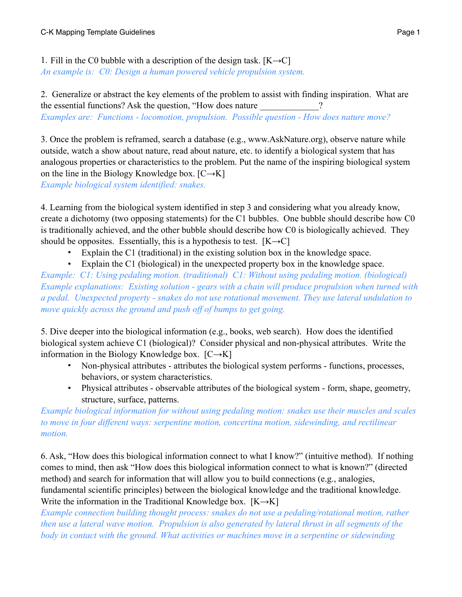1. Fill in the C0 bubble with a description of the design task.  $[K\rightarrow C]$ *An example is: C0: Design a human powered vehicle propulsion system.*

2. Generalize or abstract the key elements of the problem to assist with finding inspiration. What are the essential functions? Ask the question, "How does nature *Examples are: Functions - locomotion, propulsion. Possible question - How does nature move?* 

3. Once the problem is reframed, search a database (e.g., www.AskNature.org), observe nature while outside, watch a show about nature, read about nature, etc. to identify a biological system that has analogous properties or characteristics to the problem. Put the name of the inspiring biological system on the line in the Biology Knowledge box.  $[C\rightarrow K]$ *Example biological system identified: snakes.* 

4. Learning from the biological system identified in step 3 and considering what you already know, create a dichotomy (two opposing statements) for the C1 bubbles. One bubble should describe how C0 is traditionally achieved, and the other bubble should describe how C0 is biologically achieved. They should be opposites. Essentially, this is a hypothesis to test.  $[K\rightarrow C]$ 

- Explain the C1 (traditional) in the existing solution box in the knowledge space.
- Explain the C1 (biological) in the unexpected property box in the knowledge space.

*Example: C1: Using pedaling motion. (traditional) C1: Without using pedaling motion. (biological) Example explanations: Existing solution - gears with a chain will produce propulsion when turned with a pedal. Unexpected property - snakes do not use rotational movement. They use lateral undulation to move quickly across the ground and push off of bumps to get going.* 

5. Dive deeper into the biological information (e.g., books, web search). How does the identified biological system achieve C1 (biological)? Consider physical and non-physical attributes. Write the information in the Biology Knowledge box.  $[C\rightarrow K]$ 

- Non-physical attributes attributes the biological system performs functions, processes, behaviors, or system characteristics.
- Physical attributes observable attributes of the biological system form, shape, geometry, structure, surface, patterns.

*Example biological information for without using pedaling motion: snakes use their muscles and scales to move in four different ways: serpentine motion, concertina motion, sidewinding, and rectilinear motion.* 

6. Ask, "How does this biological information connect to what I know?" (intuitive method). If nothing comes to mind, then ask "How does this biological information connect to what is known?" (directed method) and search for information that will allow you to build connections (e.g., analogies, fundamental scientific principles) between the biological knowledge and the traditional knowledge. Write the information in the Traditional Knowledge box.  $[K \rightarrow K]$ 

*Example connection building thought process: snakes do not use a pedaling/rotational motion, rather then use a lateral wave motion. Propulsion is also generated by lateral thrust in all segments of the body in contact with the ground. What activities or machines move in a serpentine or sidewinding*